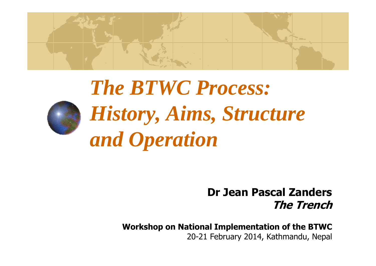

# *The BTWC Process: History, Aims, Structure and Operation*

### **Dr Jean Pascal ZandersThe Trench**

**Workshop on National Implementation of the BTWC**20-21 February 2014, Kathmandu, Nepal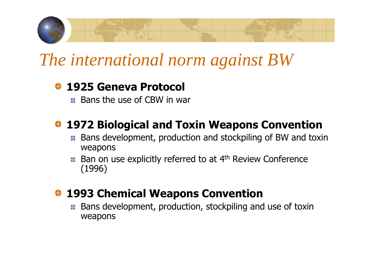

## *The international norm against BW*

### **1925 Geneva Protocol**

**Bans the use of CBW in war** 

### **1972 Biological and Toxin Weapons Convention**

- Bans development, production and stockpiling of BW and toxin ÷, weapons
- Ban on use explicitly referred to at 4<sup>th</sup> Review Conference ф. (1996)

### **<sup>◆</sup> 1993 Chemical Weapons Convention**

 Bans development, production, stockpiling and use of toxin ት weapons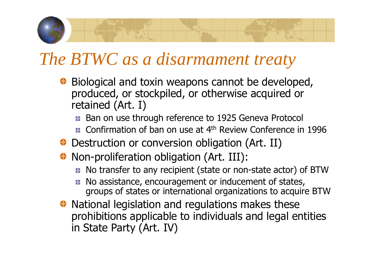## *The BTWC as a disarmament treaty*

- ◆ Biological and toxin weapons cannot be developed, produced, or stockpiled, or otherwise acquired or retained (Art. I)
	- **Ban on use through reference to 1925 Geneva Protocol**
	- Confirmation of ban on use at 4<sup>th</sup> Review Conference in 1996
- ◆ Destruction or conversion obligation (Art. II)
- ◆ Non-proliferation obligation (Art. III):
	- No transfer to any recipient (state or non-state actor) of BTW
	- No assistance, encouragement or inducement of states, łфgroups of states or international organizations to acquire BTW
- ◆ National legislation and regulations makes these prohibitions applicable to individuals and legal entitiesin State Party (Art. IV)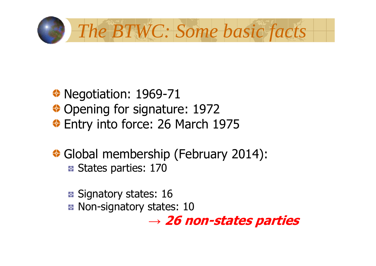

### ◆ Negotiation: 1969-71 Opening for signature: 1972Entry into force: 26 March 1975

Global membership (February 2014): **B** States parties: 170

**B** Signatory states: 16 Non-signatory states: 10

> → 26 I **26 non-states parties**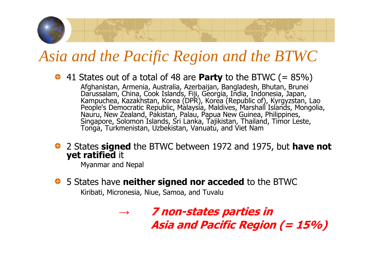## *Asia and the Pacific Region and the BTWC*

41 States out of a total of 48 are **Party** to the BTWC (= 85%)

Afghanistan, Armenia, Australia, Azerbaijan, Bangladesh, Bhutan, Brunei<br>Darussalam, China, Cook Islands, Fiji, Georgia, India, Indonesia, Japan,<br>Kampuchea, Kazakhstan, Korea (DPR), Korea (Republic of), Kyrgyzstan, Lao<br>Peop Singapore, Solomon Islands, Sri Lanka, Tajikistan, Thailand, Timor Leste,<br>Tonga, Turkmenistan, Uzbekistan, Vanuatu, and Viet Nam

2 States **signed** the BTWC between 1972 and 1975, but **have not**<br>**yet ratified** it **yet ratified it** 

Myanmar and Nepal

5 States have **neither signed nor acceded** to the BTWC

Kiribati, Micronesia, Niue, Samoa, and Tuvalu

*→* **7 non-states parties in Asia and Pacific Region (= 15%)**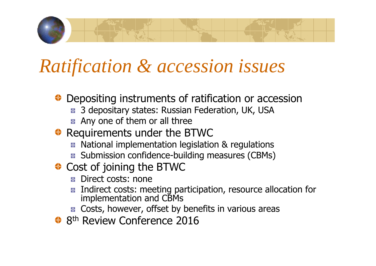## *Ratification & accession issues*

- ◆ Depositing instruments of ratification or accession
	- 3 depositary states: Russian Federation, UK, USAР.
	- **Any one of them or all three**
- Requirements under the BTWC
	- National implementation legislation & regulations
	- Submission confidence-building measures (CBMs)
- ◆ Cost of joining the BTWC
	- **B** Direct costs: none
	- Indirect costs: meeting participation, resource allocation for<br>implementation and CBMs ቀ
	- Costs, however, offset by benefits in various areas
- 8<sup>th</sup> Review Conference 2016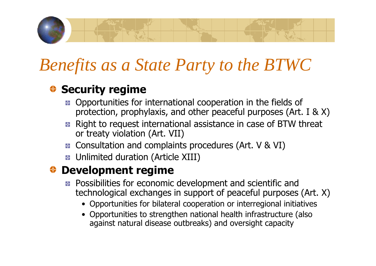## *Benefits as a State Party to the BTWC*

### **Security regime**

- Opportunities for international cooperation in the fields of protection, prophylaxis, and other peaceful purposes (Art. I & X)
- Right to request international assistance in case of BTW threat or treaty violation (Art. VII)
- Consultation and complaints procedures (Art. V & VI)
- **B** Unlimited duration (Article XIII)

### **Development regime**

- Possibilities for economic development and scientific and technological exchanges in support of peaceful purposes (Art. X)
	- Opportunities for bilateral cooperation or interregional initiatives
	- Opportunities to strengthen national health infrastructure (also<br>against natural disease outbreaks) and oversight capacity against natural disease outbreaks) and oversight capacity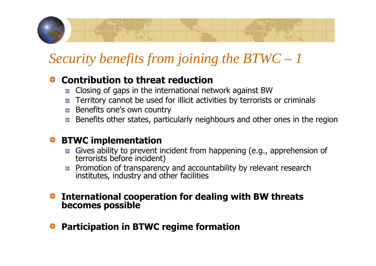### *Security benefits from joining the BTWC – 1*

### **Contribution to threat reduction**

- Closing of gaps in the international network against BW
- Territory cannot be used for illicit activities by terrorists or criminals
- **Benefits one's own country**
- Benefits other states, particularly neighbours and other ones in the region

### **BTWC implementation**

- Gives ability to prevent incident from happening (e.g., apprehension of<br>terrorists before incident)
- Promotion of transparency and accountability by relevant research<br>institutes, industry and other facilities

## **International cooperation for dealing with BW threats becomes possible**

**Participation in BTWC regime formation**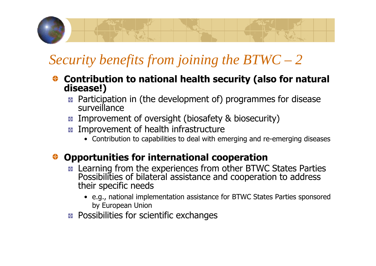## *Security benefits from joining the BTWC – 2*

- **Contribution to national health security (also for natural disease!)**
	- Participation in (the development of) programmes for disease<br>surveillance
	- **E** Improvement of oversight (biosafety & biosecurity)
	- **E** Improvement of health infrastructure
		- Contribution to capabilities to deal with emerging and re-emerging diseases

### **Opportunities for international cooperation**

- Learning from the experiences from other BTWC States Parties ቀ Possibilities of bilateral assistance and cooperation to address their specific needs
	- e.g., national implementation assistance for BTWC States Parties sponsored by European Union
- Possibilities for scientific exchanges